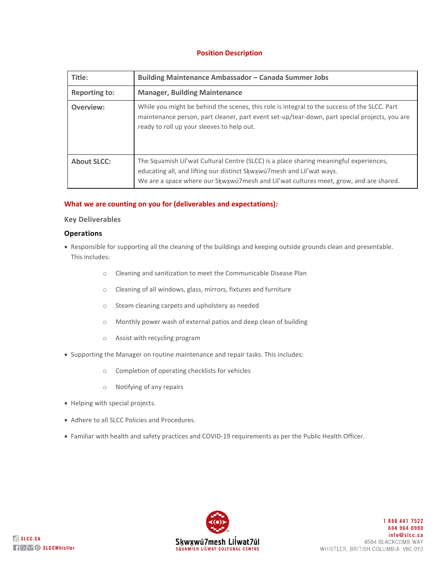# **Position Description**

| Title:               | Building Maintenance Ambassador - Canada Summer Jobs                                                                                                                                                                                                     |
|----------------------|----------------------------------------------------------------------------------------------------------------------------------------------------------------------------------------------------------------------------------------------------------|
| <b>Reporting to:</b> | <b>Manager, Building Maintenance</b>                                                                                                                                                                                                                     |
| Overview:            | While you might be behind the scenes, this role is integral to the success of the SLCC. Part<br>maintenance person, part cleaner, part event set-up/tear-down, part special projects, you are<br>ready to roll up your sleeves to help out.              |
| <b>About SLCC:</b>   | The Squamish Lil'wat Cultural Centre (SLCC) is a place sharing meaningful experiences,<br>educating all, and lifting our distinct Skwxwu7mesh and Lil'wat ways.<br>We are a space where our Skwxwu7mesh and Lil'wat cultures meet, grow, and are shared. |

## **What we are counting on you for (deliverables and expectations):**

## **Key Deliverables**

## **Operations**

- Responsible for supporting all the cleaning of the buildings and keeping outside grounds clean and presentable. This includes:
	- o Cleaning and sanitization to meet the Communicable Disease Plan
	- o Cleaning of all windows, glass, mirrors, fixtures and furniture
	- o Steam cleaning carpets and upholstery as needed
	- o Monthly power wash of external patios and deep clean of building
	- o Assist with recycling program
- Supporting the Manager on routine maintenance and repair tasks. This includes:
	- o Completion of operating checklists for vehicles
	- o Notifying of any repairs
- Helping with special projects.
- Adhere to all SLCC Policies and Procedures.
- Familiar with health and safety practices and COVID-19 requirements as per the Public Health Officer.